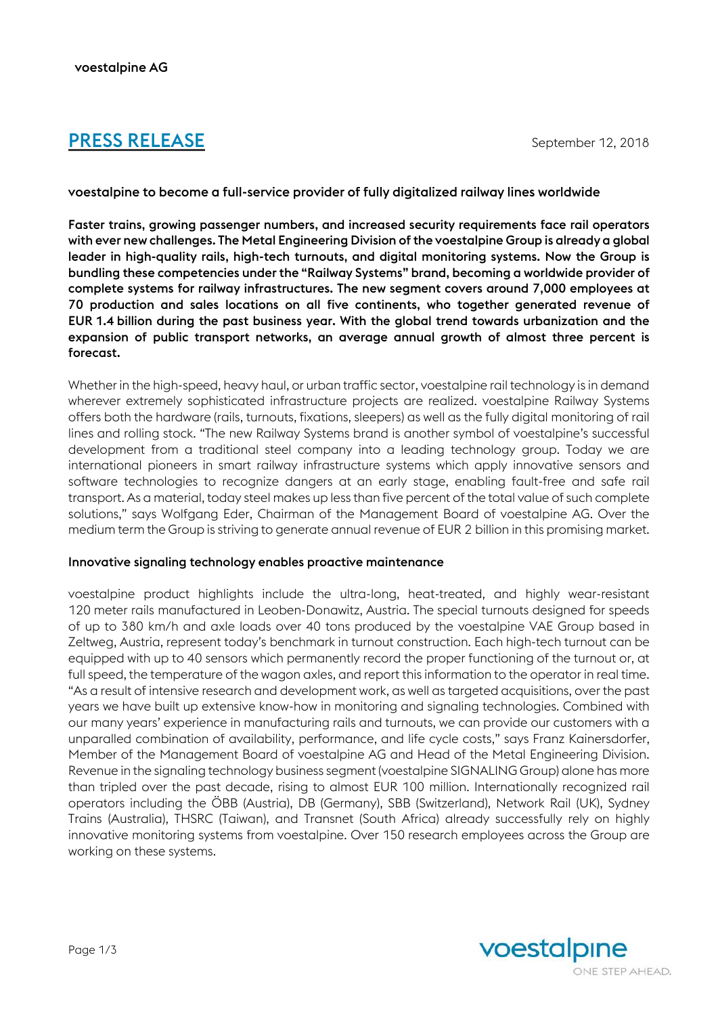# **PRESS RELEASE** September 12, 2018

voestalpine to become a full-service provider of fully digitalized railway lines worldwide

Faster trains, growing passenger numbers, and increased security requirements face rail operators with ever new challenges. The Metal Engineering Division of the voestalpine Group is already a global leader in high-quality rails, high-tech turnouts, and digital monitoring systems. Now the Group is bundling these competencies under the "Railway Systems" brand, becoming a worldwide provider of complete systems for railway infrastructures. The new segment covers around 7,000 employees at 70 production and sales locations on all five continents, who together generated revenue of EUR 1.4 billion during the past business year. With the global trend towards urbanization and the expansion of public transport networks, an average annual growth of almost three percent is forecast.

Whether in the high-speed, heavy haul, or urban traffic sector, voestalpine rail technology is in demand wherever extremely sophisticated infrastructure projects are realized. voestalpine Railway Systems offers both the hardware (rails, turnouts, fixations, sleepers) as well as the fully digital monitoring of rail lines and rolling stock. "The new Railway Systems brand is another symbol of voestalpine's successful development from a traditional steel company into a leading technology group. Today we are international pioneers in smart railway infrastructure systems which apply innovative sensors and software technologies to recognize dangers at an early stage, enabling fault-free and safe rail transport. As a material, today steel makes up less than five percent of the total value of such complete solutions," says Wolfgang Eder, Chairman of the Management Board of voestalpine AG. Over the medium term the Group is striving to generate annual revenue of EUR 2 billion in this promising market.

### Innovative signaling technology enables proactive maintenance

voestalpine product highlights include the ultra-long, heat-treated, and highly wear-resistant 120 meter rails manufactured in Leoben-Donawitz, Austria. The special turnouts designed for speeds of up to 380 km/h and axle loads over 40 tons produced by the voestalpine VAE Group based in Zeltweg, Austria, represent today's benchmark in turnout construction. Each high-tech turnout can be equipped with up to 40 sensors which permanently record the proper functioning of the turnout or, at full speed, the temperature of the wagon axles, and report this information to the operator in real time. "As a result of intensive research and development work, as well as targeted acquisitions, over the past years we have built up extensive know-how in monitoring and signaling technologies. Combined with our many years' experience in manufacturing rails and turnouts, we can provide our customers with a unparalled combination of availability, performance, and life cycle costs," says Franz Kainersdorfer, Member of the Management Board of voestalpine AG and Head of the Metal Engineering Division. Revenue in the signaling technology business segment (voestalpine SIGNALING Group) alone has more than tripled over the past decade, rising to almost EUR 100 million. Internationally recognized rail operators including the ÖBB (Austria), DB (Germany), SBB (Switzerland), Network Rail (UK), Sydney Trains (Australia), THSRC (Taiwan), and Transnet (South Africa) already successfully rely on highly innovative monitoring systems from voestalpine. Over 150 research employees across the Group are working on these systems.

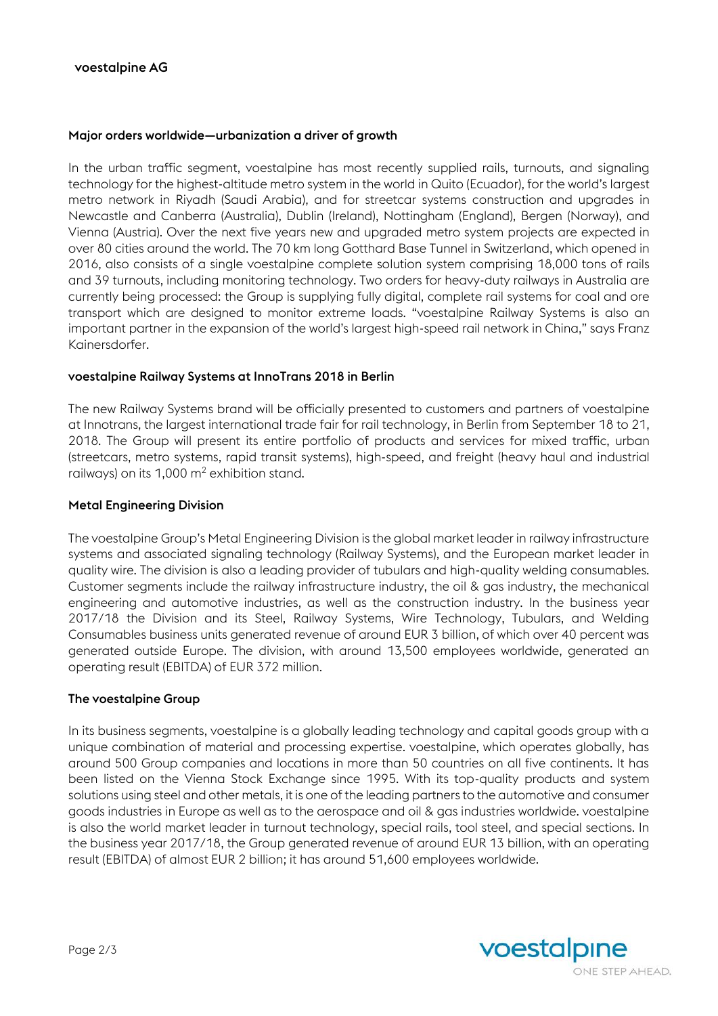### Major orders worldwide—urbanization a driver of growth

In the urban traffic segment, voestalpine has most recently supplied rails, turnouts, and signaling technology for the highest-altitude metro system in the world in Quito (Ecuador), for the world's largest metro network in Riyadh (Saudi Arabia), and for streetcar systems construction and upgrades in Newcastle and Canberra (Australia), Dublin (Ireland), Nottingham (England), Bergen (Norway), and Vienna (Austria). Over the next five years new and upgraded metro system projects are expected in over 80 cities around the world. The 70 km long Gotthard Base Tunnel in Switzerland, which opened in 2016, also consists of a single voestalpine complete solution system comprising 18,000 tons of rails and 39 turnouts, including monitoring technology. Two orders for heavy-duty railways in Australia are currently being processed: the Group is supplying fully digital, complete rail systems for coal and ore transport which are designed to monitor extreme loads. "voestalpine Railway Systems is also an important partner in the expansion of the world's largest high-speed rail network in China," says Franz Kainersdorfer.

### voestalpine Railway Systems at InnoTrans 2018 in Berlin

The new Railway Systems brand will be officially presented to customers and partners of voestalpine at Innotrans, the largest international trade fair for rail technology, in Berlin from September 18 to 21, 2018. The Group will present its entire portfolio of products and services for mixed traffic, urban (streetcars, metro systems, rapid transit systems), high-speed, and freight (heavy haul and industrial railways) on its 1,000  $m^2$  exhibition stand.

#### Metal Engineering Division

The voestalpine Group's Metal Engineering Division is the global market leader in railway infrastructure systems and associated signaling technology (Railway Systems), and the European market leader in quality wire. The division is also a leading provider of tubulars and high-quality welding consumables. Customer segments include the railway infrastructure industry, the oil & gas industry, the mechanical engineering and automotive industries, as well as the construction industry. In the business year 2017/18 the Division and its Steel, Railway Systems, Wire Technology, Tubulars, and Welding Consumables business units generated revenue of around EUR 3 billion, of which over 40 percent was generated outside Europe. The division, with around 13,500 employees worldwide, generated an operating result (EBITDA) of EUR 372 million.

### The voestalpine Group

In its business segments, voestalpine is a globally leading technology and capital goods group with a unique combination of material and processing expertise. voestalpine, which operates globally, has around 500 Group companies and locations in more than 50 countries on all five continents. It has been listed on the Vienna Stock Exchange since 1995. With its top-quality products and system solutions using steel and other metals, it is one of the leading partners to the automotive and consumer goods industries in Europe as well as to the aerospace and oil & gas industries worldwide. voestalpine is also the world market leader in turnout technology, special rails, tool steel, and special sections. In the business year 2017/18, the Group generated revenue of around EUR 13 billion, with an operating result (EBITDA) of almost EUR 2 billion; it has around 51,600 employees worldwide.